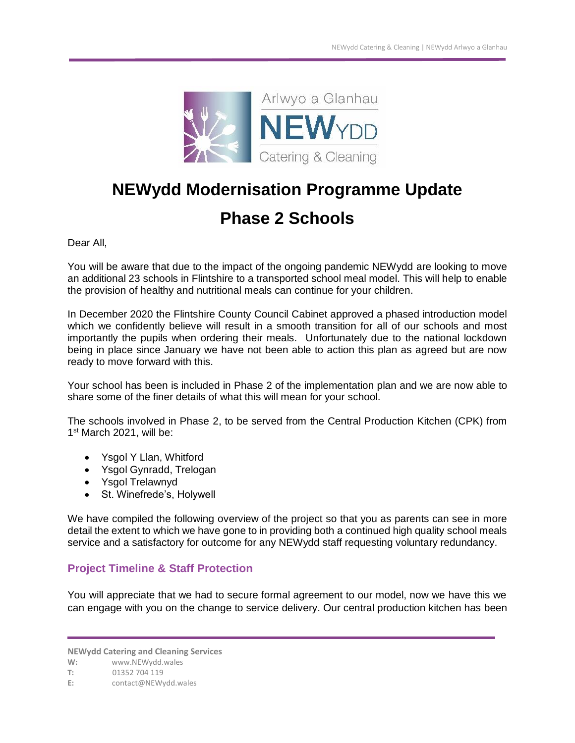

# **NEWydd Modernisation Programme Update**

# **Phase 2 Schools**

Dear All,

You will be aware that due to the impact of the ongoing pandemic NEWydd are looking to move an additional 23 schools in Flintshire to a transported school meal model. This will help to enable the provision of healthy and nutritional meals can continue for your children.

In December 2020 the Flintshire County Council Cabinet approved a phased introduction model which we confidently believe will result in a smooth transition for all of our schools and most importantly the pupils when ordering their meals. Unfortunately due to the national lockdown being in place since January we have not been able to action this plan as agreed but are now ready to move forward with this.

Your school has been is included in Phase 2 of the implementation plan and we are now able to share some of the finer details of what this will mean for your school.

The schools involved in Phase 2, to be served from the Central Production Kitchen (CPK) from 1 st March 2021, will be:

- Ysgol Y Llan, Whitford
- Ysgol Gynradd, Trelogan
- Ysgol Trelawnyd
- St. Winefrede's, Holywell

We have compiled the following overview of the project so that you as parents can see in more detail the extent to which we have gone to in providing both a continued high quality school meals service and a satisfactory for outcome for any NEWydd staff requesting voluntary redundancy.

### **Project Timeline & Staff Protection**

You will appreciate that we had to secure formal agreement to our model, now we have this we can engage with you on the change to service delivery. Our central production kitchen has been

**NEWydd Catering and Cleaning Services**

**W:** www.NEWydd.wales

**T:** 01352 704 119

**E:** contact@NEWydd.wales